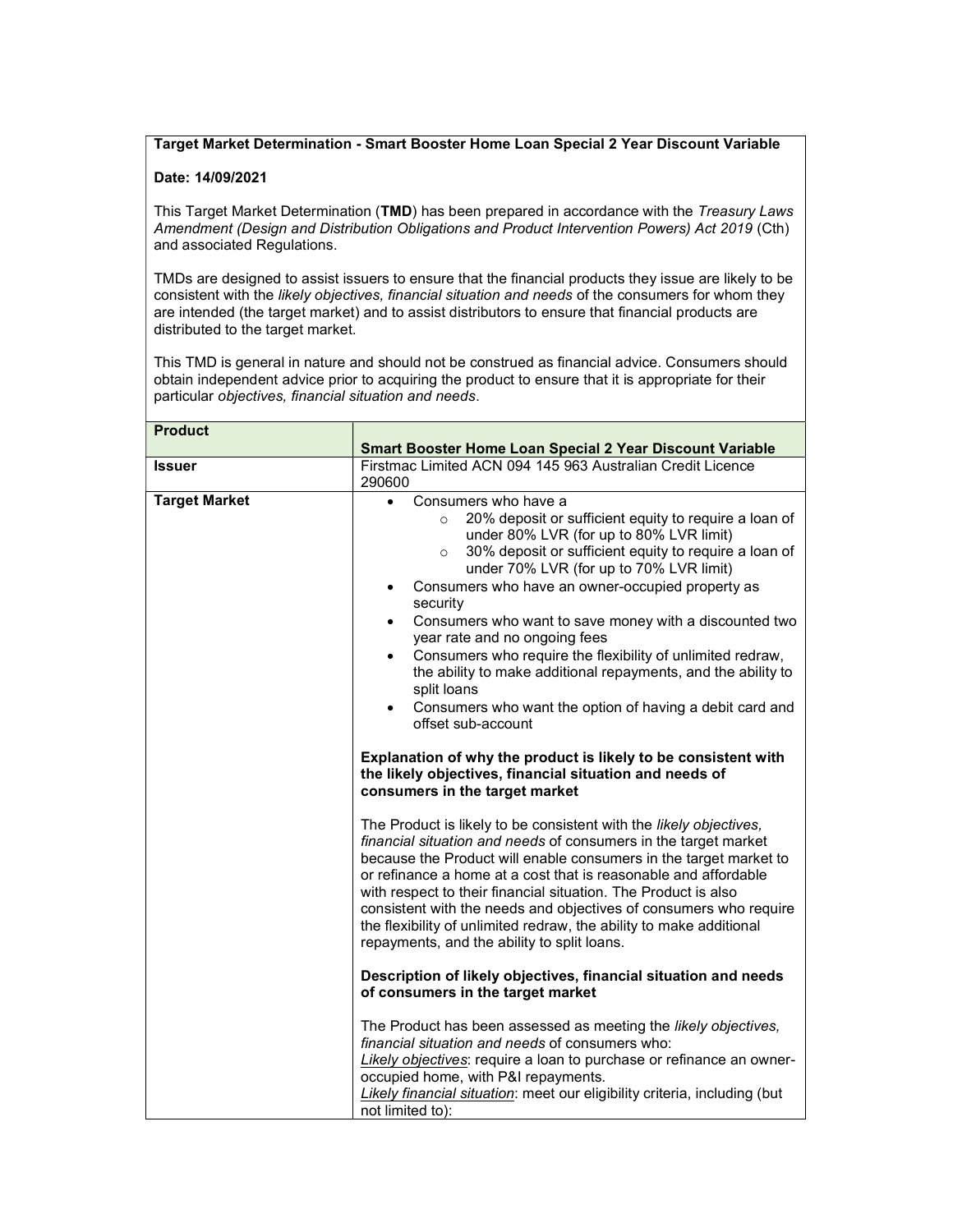## Target Market Determination - Smart Booster Home Loan Special 2 Year Discount Variable

## Date: 14/09/2021

This Target Market Determination (TMD) has been prepared in accordance with the Treasury Laws Amendment (Design and Distribution Obligations and Product Intervention Powers) Act 2019 (Cth) and associated Regulations.

TMDs are designed to assist issuers to ensure that the financial products they issue are likely to be consistent with the likely objectives, financial situation and needs of the consumers for whom they are intended (the target market) and to assist distributors to ensure that financial products are distributed to the target market.

This TMD is general in nature and should not be construed as financial advice. Consumers should obtain independent advice prior to acquiring the product to ensure that it is appropriate for their particular objectives, financial situation and needs.

| <b>Product</b>       |                                                                                                                                                                                                                                                                                                                                                                                                                                                                                                                                                                                                                                                                                                                                                                                                                                                                                                                           |
|----------------------|---------------------------------------------------------------------------------------------------------------------------------------------------------------------------------------------------------------------------------------------------------------------------------------------------------------------------------------------------------------------------------------------------------------------------------------------------------------------------------------------------------------------------------------------------------------------------------------------------------------------------------------------------------------------------------------------------------------------------------------------------------------------------------------------------------------------------------------------------------------------------------------------------------------------------|
|                      | Smart Booster Home Loan Special 2 Year Discount Variable                                                                                                                                                                                                                                                                                                                                                                                                                                                                                                                                                                                                                                                                                                                                                                                                                                                                  |
| Issuer               | Firstmac Limited ACN 094 145 963 Australian Credit Licence<br>290600                                                                                                                                                                                                                                                                                                                                                                                                                                                                                                                                                                                                                                                                                                                                                                                                                                                      |
| <b>Target Market</b> | Consumers who have a<br>$\bullet$<br>20% deposit or sufficient equity to require a loan of<br>$\circ$<br>under 80% LVR (for up to 80% LVR limit)<br>30% deposit or sufficient equity to require a loan of<br>$\circ$<br>under 70% LVR (for up to 70% LVR limit)<br>Consumers who have an owner-occupied property as<br>security<br>Consumers who want to save money with a discounted two<br>$\bullet$<br>year rate and no ongoing fees<br>Consumers who require the flexibility of unlimited redraw,<br>$\bullet$<br>the ability to make additional repayments, and the ability to<br>split loans<br>Consumers who want the option of having a debit card and<br>offset sub-account<br>Explanation of why the product is likely to be consistent with<br>the likely objectives, financial situation and needs of<br>consumers in the target market<br>The Product is likely to be consistent with the likely objectives, |
|                      | financial situation and needs of consumers in the target market<br>because the Product will enable consumers in the target market to<br>or refinance a home at a cost that is reasonable and affordable<br>with respect to their financial situation. The Product is also<br>consistent with the needs and objectives of consumers who require<br>the flexibility of unlimited redraw, the ability to make additional<br>repayments, and the ability to split loans.<br>Description of likely objectives, financial situation and needs<br>of consumers in the target market                                                                                                                                                                                                                                                                                                                                              |
|                      | The Product has been assessed as meeting the likely objectives,<br>financial situation and needs of consumers who:<br>Likely objectives: require a loan to purchase or refinance an owner-<br>occupied home, with P&I repayments.<br>Likely financial situation: meet our eligibility criteria, including (but<br>not limited to):                                                                                                                                                                                                                                                                                                                                                                                                                                                                                                                                                                                        |